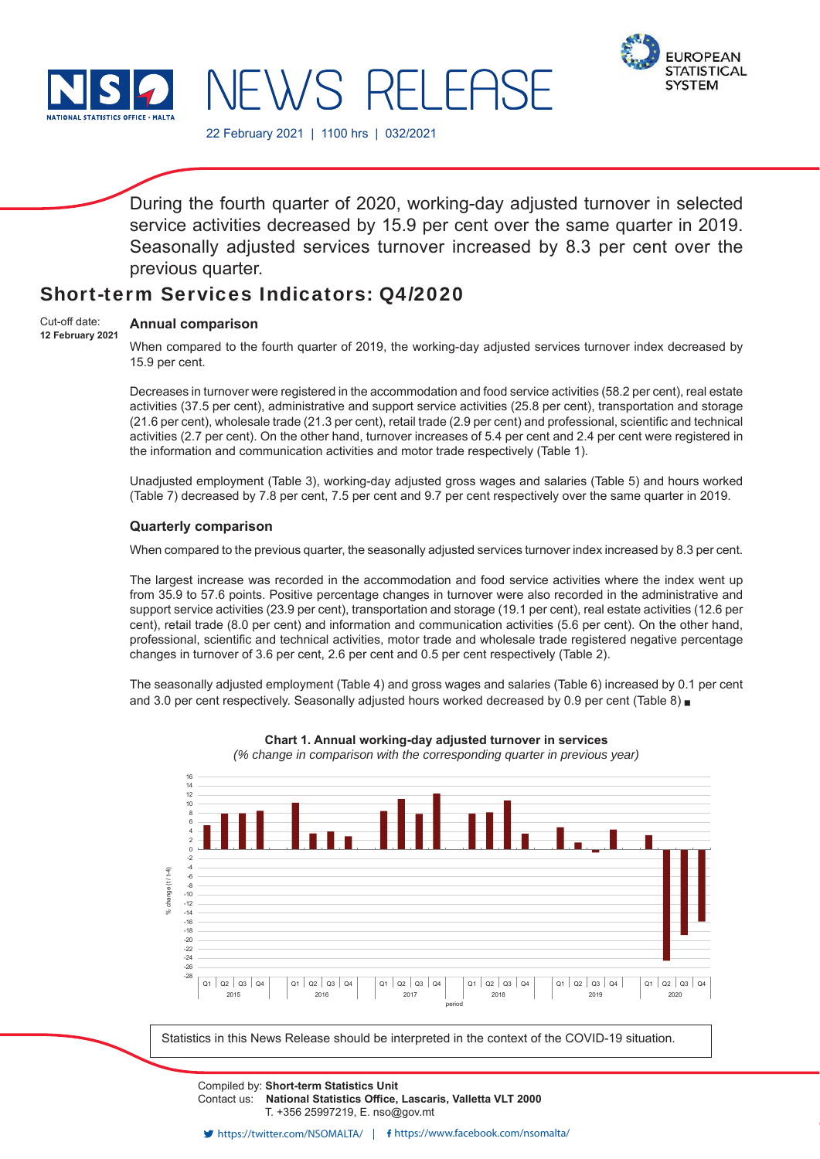

JEWS RELEASE



22 February 2021 | 1100 hrs | 032/2021

During the fourth quarter of 2020, working-day adjusted turnover in selected service activities decreased by 15.9 per cent over the same quarter in 2019. Seasonally adjusted services turnover increased by 8.3 per cent over the previous quarter.

# Short-term Services Indicators: Q4/2020

#### **Annual comparison**  Cut-off date:

**12 February 2021**

When compared to the fourth quarter of 2019, the working-day adjusted services turnover index decreased by 15.9 per cent.

Decreases in turnover were registered in the accommodation and food service activities (58.2 per cent), real estate activities (37.5 per cent), administrative and support service activities (25.8 per cent), transportation and storage  $(21.6$  per cent), wholesale trade  $(21.3$  per cent), retail trade  $(2.9$  per cent) and professional, scientific and technical activities (2.7 per cent). On the other hand, turnover increases of 5.4 per cent and 2.4 per cent were registered in the information and communication activities and motor trade respectively (Table 1).

Unadjusted employment (Table 3), working-day adjusted gross wages and salaries (Table 5) and hours worked (Table 7) decreased by 7.8 per cent, 7.5 per cent and 9.7 per cent respectively over the same quarter in 2019.

## **Quarterly comparison**

When compared to the previous quarter, the seasonally adjusted services turnover index increased by 8.3 per cent.

The largest increase was recorded in the accommodation and food service activities where the index went up from 35.9 to 57.6 points. Positive percentage changes in turnover were also recorded in the administrative and support service activities (23.9 per cent), transportation and storage (19.1 per cent), real estate activities (12.6 per cent), retail trade (8.0 per cent) and information and communication activities (5.6 per cent). On the other hand, professional, scientific and technical activities, motor trade and wholesale trade registered negative percentage changes in turnover of 3.6 per cent, 2.6 per cent and 0.5 per cent respectively (Table 2).

The seasonally adjusted employment (Table 4) and gross wages and salaries (Table 6) increased by 0.1 per cent and 3.0 per cent respectively. Seasonally adjusted hours worked decreased by 0.9 per cent (Table 8) .



**Chart 1. Annual working-day adjusted turnover in services**

*(% change in comparison with the corresponding quarter in previous year)*

Compiled by: **Short-term Statistics Unit** Contact us: National Statistics Office, Lascaris, Valletta VLT 2000 T. +356 25997219, E. nso@gov.mt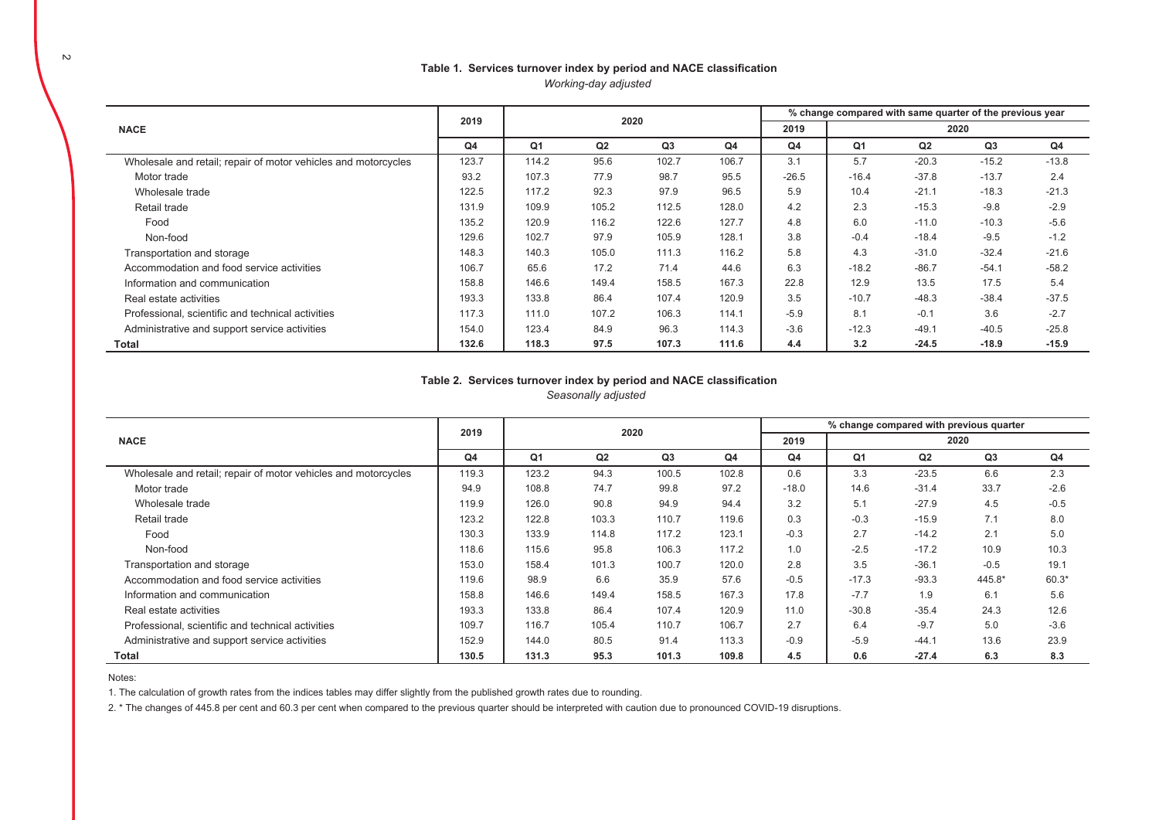### Table 1. Services turnover index by period and NACE classification *Working-day adjusted*

|                                                                |                |       |       |                |       |         |         | % change compared with same quarter of the previous year |                |         |
|----------------------------------------------------------------|----------------|-------|-------|----------------|-------|---------|---------|----------------------------------------------------------|----------------|---------|
| <b>NACE</b>                                                    | 2019           |       | 2020  |                |       | 2019    |         |                                                          | 2020           |         |
|                                                                | Q <sub>4</sub> | Q1    | Q2    | Q <sub>3</sub> | Q4    | Q4      | Q1      | Q <sub>2</sub>                                           | Q <sub>3</sub> | Q4      |
| Wholesale and retail; repair of motor vehicles and motorcycles | 123.7          | 114.2 | 95.6  | 102.7          | 106.7 | 3.1     | 5.7     | $-20.3$                                                  | $-15.2$        | $-13.8$ |
| Motor trade                                                    | 93.2           | 107.3 | 77.9  | 98.7           | 95.5  | $-26.5$ | $-16.4$ | $-37.8$                                                  | $-13.7$        | 2.4     |
| Wholesale trade                                                | 122.5          | 117.2 | 92.3  | 97.9           | 96.5  | 5.9     | 10.4    | $-21.1$                                                  | $-18.3$        | $-21.3$ |
| Retail trade                                                   | 131.9          | 109.9 | 105.2 | 112.5          | 128.0 | 4.2     | 2.3     | $-15.3$                                                  | $-9.8$         | $-2.9$  |
| Food                                                           | 135.2          | 120.9 | 116.2 | 122.6          | 127.7 | 4.8     | 6.0     | $-11.0$                                                  | $-10.3$        | $-5.6$  |
| Non-food                                                       | 129.6          | 102.7 | 97.9  | 105.9          | 128.1 | 3.8     | $-0.4$  | $-18.4$                                                  | $-9.5$         | $-1.2$  |
| Transportation and storage                                     | 148.3          | 140.3 | 105.0 | 111.3          | 116.2 | 5.8     | 4.3     | $-31.0$                                                  | $-32.4$        | $-21.6$ |
| Accommodation and food service activities                      | 106.7          | 65.6  | 17.2  | 71.4           | 44.6  | 6.3     | $-18.2$ | $-86.7$                                                  | $-54.1$        | $-58.2$ |
| Information and communication                                  | 158.8          | 146.6 | 149.4 | 158.5          | 167.3 | 22.8    | 12.9    | 13.5                                                     | 17.5           | 5.4     |
| Real estate activities                                         | 193.3          | 133.8 | 86.4  | 107.4          | 120.9 | 3.5     | $-10.7$ | $-48.3$                                                  | $-38.4$        | $-37.5$ |
| Professional, scientific and technical activities              | 117.3          | 111.0 | 107.2 | 106.3          | 114.1 | $-5.9$  | 8.1     | $-0.1$                                                   | 3.6            | $-2.7$  |
| Administrative and support service activities                  | 154.0          | 123.4 | 84.9  | 96.3           | 114.3 | $-3.6$  | $-12.3$ | $-49.1$                                                  | $-40.5$        | $-25.8$ |
| Total                                                          | 132.6          | 118.3 | 97.5  | 107.3          | 111.6 | 4.4     | 3.2     | $-24.5$                                                  | $-18.9$        | $-15.9$ |

### Table 2. Services turnover index by period and NACE classification *Seasonally adjusted*

|                                                                |                |                |       |                |                |                |         |         | % change compared with previous quarter |         |
|----------------------------------------------------------------|----------------|----------------|-------|----------------|----------------|----------------|---------|---------|-----------------------------------------|---------|
| <b>NACE</b>                                                    | 2019           |                | 2020  |                |                | 2019           |         |         | 2020                                    |         |
|                                                                | Q <sub>4</sub> | Q <sub>1</sub> | Q2    | Q <sub>3</sub> | Q <sub>4</sub> | Q <sub>4</sub> | Q1      | Q2      | Q <sub>3</sub>                          | Q4      |
| Wholesale and retail; repair of motor vehicles and motorcycles | 119.3          | 123.2          | 94.3  | 100.5          | 102.8          | 0.6            | 3.3     | $-23.5$ | 6.6                                     | 2.3     |
| Motor trade                                                    | 94.9           | 108.8          | 74.7  | 99.8           | 97.2           | $-18.0$        | 14.6    | $-31.4$ | 33.7                                    | $-2.6$  |
| Wholesale trade                                                | 119.9          | 126.0          | 90.8  | 94.9           | 94.4           | 3.2            | 5.1     | $-27.9$ | 4.5                                     | $-0.5$  |
| Retail trade                                                   | 123.2          | 122.8          | 103.3 | 110.7          | 119.6          | 0.3            | $-0.3$  | $-15.9$ | 7.1                                     | 8.0     |
| Food                                                           | 130.3          | 133.9          | 114.8 | 117.2          | 123.1          | $-0.3$         | 2.7     | $-14.2$ | 2.1                                     | 5.0     |
| Non-food                                                       | 118.6          | 115.6          | 95.8  | 106.3          | 117.2          | 1.0            | $-2.5$  | $-17.2$ | 10.9                                    | 10.3    |
| Transportation and storage                                     | 153.0          | 158.4          | 101.3 | 100.7          | 120.0          | 2.8            | 3.5     | $-36.1$ | $-0.5$                                  | 19.1    |
| Accommodation and food service activities                      | 119.6          | 98.9           | 6.6   | 35.9           | 57.6           | $-0.5$         | $-17.3$ | $-93.3$ | 445.8*                                  | $60.3*$ |
| Information and communication                                  | 158.8          | 146.6          | 149.4 | 158.5          | 167.3          | 17.8           | $-7.7$  | 1.9     | 6.1                                     | 5.6     |
| Real estate activities                                         | 193.3          | 133.8          | 86.4  | 107.4          | 120.9          | 11.0           | $-30.8$ | $-35.4$ | 24.3                                    | 12.6    |
| Professional, scientific and technical activities              | 109.7          | 116.7          | 105.4 | 110.7          | 106.7          | 2.7            | 6.4     | $-9.7$  | 5.0                                     | $-3.6$  |
| Administrative and support service activities                  | 152.9          | 144.0          | 80.5  | 91.4           | 113.3          | $-0.9$         | $-5.9$  | $-44.1$ | 13.6                                    | 23.9    |
| Total                                                          | 130.5          | 131.3          | 95.3  | 101.3          | 109.8          | 4.5            | 0.6     | $-27.4$ | 6.3                                     | 8.3     |

Notes:

1. The calculation of growth rates from the indices tables may differ slightly from the published growth rates due to rounding.

2. \* The changes of 445.8 per cent and 60.3 per cent when compared to the previous quarter should be interpreted with caution due to pronounced COVID-19 disruptions.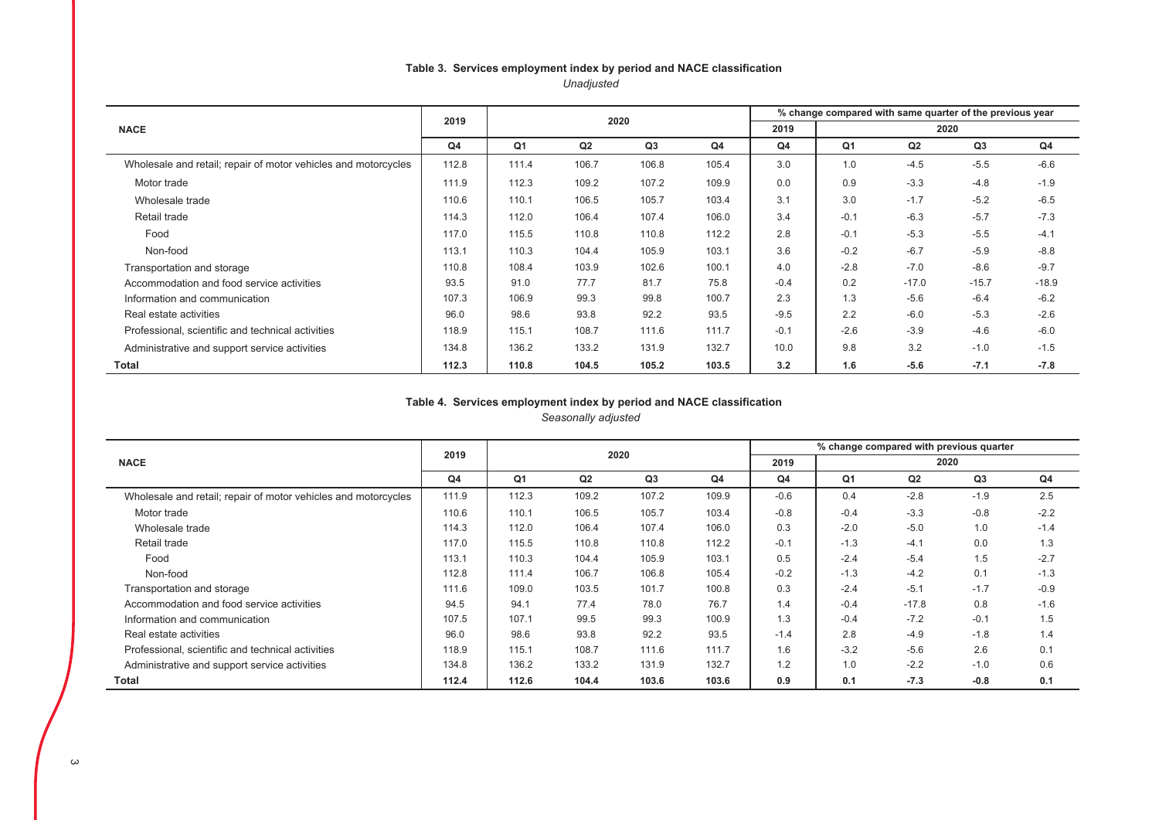# Table 3. Services employment index by period and NACE classification *Unadjusted*

|                                                                | 2019           |       |       | 2020  |                |        |        | % change compared with same quarter of the previous year |         |         |
|----------------------------------------------------------------|----------------|-------|-------|-------|----------------|--------|--------|----------------------------------------------------------|---------|---------|
| <b>NACE</b>                                                    |                |       |       |       |                | 2019   |        |                                                          | 2020    |         |
|                                                                | Q <sub>4</sub> | Q1    | Q2    | Q3    | Q <sub>4</sub> | Q4     | Q1     | Q2                                                       | Q3      | Q4      |
| Wholesale and retail; repair of motor vehicles and motorcycles | 112.8          | 111.4 | 106.7 | 106.8 | 105.4          | 3.0    | 1.0    | $-4.5$                                                   | $-5.5$  | $-6.6$  |
| Motor trade                                                    | 111.9          | 112.3 | 109.2 | 107.2 | 109.9          | 0.0    | 0.9    | $-3.3$                                                   | $-4.8$  | $-1.9$  |
| Wholesale trade                                                | 110.6          | 110.1 | 106.5 | 105.7 | 103.4          | 3.1    | 3.0    | $-1.7$                                                   | $-5.2$  | $-6.5$  |
| Retail trade                                                   | 114.3          | 112.0 | 106.4 | 107.4 | 106.0          | 3.4    | $-0.1$ | $-6.3$                                                   | $-5.7$  | $-7.3$  |
| Food                                                           | 117.0          | 115.5 | 110.8 | 110.8 | 112.2          | 2.8    | $-0.1$ | $-5.3$                                                   | $-5.5$  | $-4.1$  |
| Non-food                                                       | 113.1          | 110.3 | 104.4 | 105.9 | 103.1          | 3.6    | $-0.2$ | $-6.7$                                                   | $-5.9$  | $-8.8$  |
| Transportation and storage                                     | 110.8          | 108.4 | 103.9 | 102.6 | 100.1          | 4.0    | $-2.8$ | $-7.0$                                                   | $-8.6$  | $-9.7$  |
| Accommodation and food service activities                      | 93.5           | 91.0  | 77.7  | 81.7  | 75.8           | $-0.4$ | 0.2    | $-17.0$                                                  | $-15.7$ | $-18.9$ |
| Information and communication                                  | 107.3          | 106.9 | 99.3  | 99.8  | 100.7          | 2.3    | 1.3    | $-5.6$                                                   | $-6.4$  | $-6.2$  |
| Real estate activities                                         | 96.0           | 98.6  | 93.8  | 92.2  | 93.5           | $-9.5$ | 2.2    | $-6.0$                                                   | $-5.3$  | $-2.6$  |
| Professional, scientific and technical activities              | 118.9          | 115.1 | 108.7 | 111.6 | 111.7          | $-0.1$ | $-2.6$ | $-3.9$                                                   | $-4.6$  | $-6.0$  |
| Administrative and support service activities                  | 134.8          | 136.2 | 133.2 | 131.9 | 132.7          | 10.0   | 9.8    | 3.2                                                      | $-1.0$  | $-1.5$  |
| Total                                                          | 112.3          | 110.8 | 104.5 | 105.2 | 103.5          | 3.2    | 1.6    | $-5.6$                                                   | $-7.1$  | $-7.8$  |

#### Table 4. Services employment index by period and NACE classification *Seasonally adjusted*

|                                                                | 2019           |       | 2020  |                |                |                | % change compared with previous quarter |         |        |        |
|----------------------------------------------------------------|----------------|-------|-------|----------------|----------------|----------------|-----------------------------------------|---------|--------|--------|
| <b>NACE</b>                                                    |                |       |       |                |                | 2019           |                                         | 2020    |        |        |
|                                                                | Q <sub>4</sub> | Q1    | Q2    | Q <sub>3</sub> | Q <sub>4</sub> | Q <sub>4</sub> | Q <sub>1</sub>                          | Q2      | Q3     | Q4     |
| Wholesale and retail; repair of motor vehicles and motorcycles | 111.9          | 112.3 | 109.2 | 107.2          | 109.9          | $-0.6$         | 0.4                                     | $-2.8$  | $-1.9$ | 2.5    |
| Motor trade                                                    | 110.6          | 110.1 | 106.5 | 105.7          | 103.4          | $-0.8$         | $-0.4$                                  | $-3.3$  | $-0.8$ | $-2.2$ |
| Wholesale trade                                                | 114.3          | 112.0 | 106.4 | 107.4          | 106.0          | 0.3            | $-2.0$                                  | $-5.0$  | 1.0    | $-1.4$ |
| Retail trade                                                   | 117.0          | 115.5 | 110.8 | 110.8          | 112.2          | $-0.1$         | $-1.3$                                  | $-4.1$  | 0.0    | 1.3    |
| Food                                                           | 113.1          | 110.3 | 104.4 | 105.9          | 103.1          | 0.5            | $-2.4$                                  | $-5.4$  | 1.5    | $-2.7$ |
| Non-food                                                       | 112.8          | 111.4 | 106.7 | 106.8          | 105.4          | $-0.2$         | $-1.3$                                  | $-4.2$  | 0.1    | $-1.3$ |
| Transportation and storage                                     | 111.6          | 109.0 | 103.5 | 101.7          | 100.8          | 0.3            | $-2.4$                                  | $-5.1$  | $-1.7$ | $-0.9$ |
| Accommodation and food service activities                      | 94.5           | 94.1  | 77.4  | 78.0           | 76.7           | 1.4            | $-0.4$                                  | $-17.8$ | 0.8    | $-1.6$ |
| Information and communication                                  | 107.5          | 107.1 | 99.5  | 99.3           | 100.9          | 1.3            | $-0.4$                                  | $-7.2$  | $-0.1$ | 1.5    |
| Real estate activities                                         | 96.0           | 98.6  | 93.8  | 92.2           | 93.5           | $-1.4$         | 2.8                                     | $-4.9$  | $-1.8$ | 1.4    |
| Professional, scientific and technical activities              | 118.9          | 115.1 | 108.7 | 111.6          | 111.7          | 1.6            | $-3.2$                                  | $-5.6$  | 2.6    | 0.1    |
| Administrative and support service activities                  | 134.8          | 136.2 | 133.2 | 131.9          | 132.7          | 1.2            | 1.0                                     | $-2.2$  | $-1.0$ | 0.6    |
| Total                                                          | 112.4          | 112.6 | 104.4 | 103.6          | 103.6          | 0.9            | 0.1                                     | $-7.3$  | $-0.8$ | 0.1    |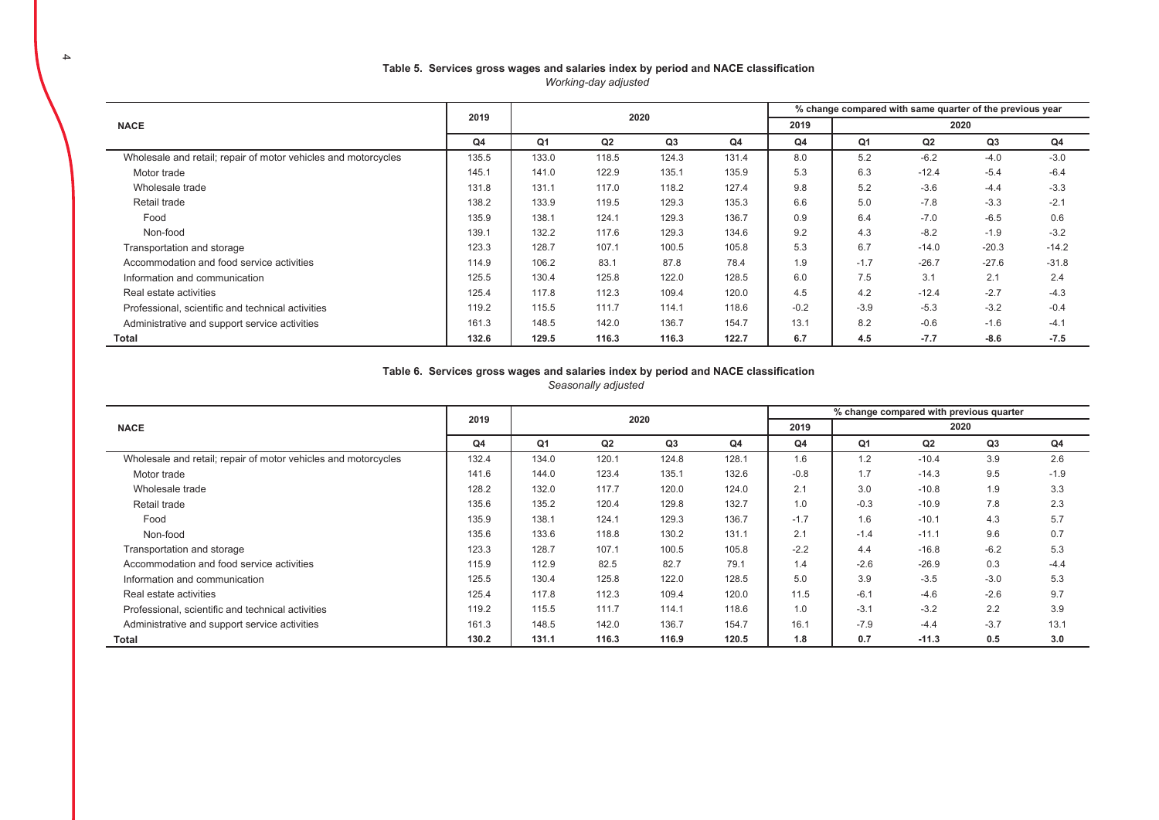#### Table 5. Services gross wages and salaries index by period and NACE classification *Working-day adjusted*

|                                                                | 2019  |                | 2020  |       |       |        | % change compared with same quarter of the previous year |         |         |                |  |  |
|----------------------------------------------------------------|-------|----------------|-------|-------|-------|--------|----------------------------------------------------------|---------|---------|----------------|--|--|
| <b>NACE</b>                                                    |       |                |       |       |       | 2019   | 2020                                                     |         |         |                |  |  |
|                                                                | Q4    | Q <sub>1</sub> | Q2    | Q3    | Q4    | Q4     | Q1                                                       | Q2      | Q3      | Q <sub>4</sub> |  |  |
| Wholesale and retail; repair of motor vehicles and motorcycles | 135.5 | 133.0          | 118.5 | 124.3 | 131.4 | 8.0    | 5.2                                                      | $-6.2$  | $-4.0$  | $-3.0$         |  |  |
| Motor trade                                                    | 145.1 | 141.0          | 122.9 | 135.1 | 135.9 | 5.3    | 6.3                                                      | $-12.4$ | $-5.4$  | $-6.4$         |  |  |
| Wholesale trade                                                | 131.8 | 131.1          | 117.0 | 118.2 | 127.4 | 9.8    | 5.2                                                      | $-3.6$  | $-4.4$  | $-3.3$         |  |  |
| Retail trade                                                   | 138.2 | 133.9          | 119.5 | 129.3 | 135.3 | 6.6    | 5.0                                                      | $-7.8$  | $-3.3$  | $-2.1$         |  |  |
| Food                                                           | 135.9 | 138.1          | 124.1 | 129.3 | 136.7 | 0.9    | 6.4                                                      | $-7.0$  | $-6.5$  | 0.6            |  |  |
| Non-food                                                       | 139.1 | 132.2          | 117.6 | 129.3 | 134.6 | 9.2    | 4.3                                                      | $-8.2$  | $-1.9$  | $-3.2$         |  |  |
| Transportation and storage                                     | 123.3 | 128.7          | 107.1 | 100.5 | 105.8 | 5.3    | 6.7                                                      | $-14.0$ | $-20.3$ | $-14.2$        |  |  |
| Accommodation and food service activities                      | 114.9 | 106.2          | 83.1  | 87.8  | 78.4  | 1.9    | $-1.7$                                                   | $-26.7$ | $-27.6$ | $-31.8$        |  |  |
| Information and communication                                  | 125.5 | 130.4          | 125.8 | 122.0 | 128.5 | 6.0    | 7.5                                                      | 3.1     | 2.1     | 2.4            |  |  |
| Real estate activities                                         | 125.4 | 117.8          | 112.3 | 109.4 | 120.0 | 4.5    | 4.2                                                      | $-12.4$ | $-2.7$  | $-4.3$         |  |  |
| Professional, scientific and technical activities              | 119.2 | 115.5          | 111.7 | 114.1 | 118.6 | $-0.2$ | $-3.9$                                                   | $-5.3$  | $-3.2$  | $-0.4$         |  |  |
| Administrative and support service activities                  | 161.3 | 148.5          | 142.0 | 136.7 | 154.7 | 13.1   | 8.2                                                      | $-0.6$  | $-1.6$  | $-4.1$         |  |  |
| Total                                                          | 132.6 | 129.5          | 116.3 | 116.3 | 122.7 | 6.7    | 4.5                                                      | $-7.7$  | $-8.6$  | $-7.5$         |  |  |

# Table 6. Services gross wages and salaries index by period and NACE classification

*Seasonally adjusted* 

|                                                                |       |                |       |       |       |                | % change compared with previous quarter |         |        |                |  |  |
|----------------------------------------------------------------|-------|----------------|-------|-------|-------|----------------|-----------------------------------------|---------|--------|----------------|--|--|
| <b>NACE</b>                                                    | 2019  |                | 2020  |       |       | 2019           | 2020                                    |         |        |                |  |  |
|                                                                | Q4    | Q <sub>1</sub> | Q2    | Q3    | Q4    | Q <sub>4</sub> | Q1                                      | Q2      | Q3     | Q <sub>4</sub> |  |  |
| Wholesale and retail; repair of motor vehicles and motorcycles | 132.4 | 134.0          | 120.1 | 124.8 | 128.1 | 1.6            | 1.2                                     | $-10.4$ | 3.9    | 2.6            |  |  |
| Motor trade                                                    | 141.6 | 144.0          | 123.4 | 135.1 | 132.6 | $-0.8$         | 1.7                                     | $-14.3$ | 9.5    | $-1.9$         |  |  |
| Wholesale trade                                                | 128.2 | 132.0          | 117.7 | 120.0 | 124.0 | 2.1            | 3.0                                     | $-10.8$ | 1.9    | 3.3            |  |  |
| Retail trade                                                   | 135.6 | 135.2          | 120.4 | 129.8 | 132.7 | 1.0            | $-0.3$                                  | $-10.9$ | 7.8    | 2.3            |  |  |
| Food                                                           | 135.9 | 138.1          | 124.1 | 129.3 | 136.7 | $-1.7$         | 1.6                                     | $-10.1$ | 4.3    | 5.7            |  |  |
| Non-food                                                       | 135.6 | 133.6          | 118.8 | 130.2 | 131.1 | 2.1            | $-1.4$                                  | $-11.1$ | 9.6    | 0.7            |  |  |
| Transportation and storage                                     | 123.3 | 128.7          | 107.1 | 100.5 | 105.8 | $-2.2$         | 4.4                                     | $-16.8$ | $-6.2$ | 5.3            |  |  |
| Accommodation and food service activities                      | 115.9 | 112.9          | 82.5  | 82.7  | 79.1  | 1.4            | $-2.6$                                  | $-26.9$ | 0.3    | $-4.4$         |  |  |
| Information and communication                                  | 125.5 | 130.4          | 125.8 | 122.0 | 128.5 | 5.0            | 3.9                                     | $-3.5$  | $-3.0$ | 5.3            |  |  |
| Real estate activities                                         | 125.4 | 117.8          | 112.3 | 109.4 | 120.0 | 11.5           | $-6.1$                                  | $-4.6$  | $-2.6$ | 9.7            |  |  |
| Professional, scientific and technical activities              | 119.2 | 115.5          | 111.7 | 114.1 | 118.6 | 1.0            | $-3.1$                                  | $-3.2$  | 2.2    | 3.9            |  |  |
| Administrative and support service activities                  | 161.3 | 148.5          | 142.0 | 136.7 | 154.7 | 16.1           | $-7.9$                                  | $-4.4$  | $-3.7$ | 13.1           |  |  |
| Total                                                          | 130.2 | 131.1          | 116.3 | 116.9 | 120.5 | 1.8            | 0.7                                     | $-11.3$ | 0.5    | 3.0            |  |  |

4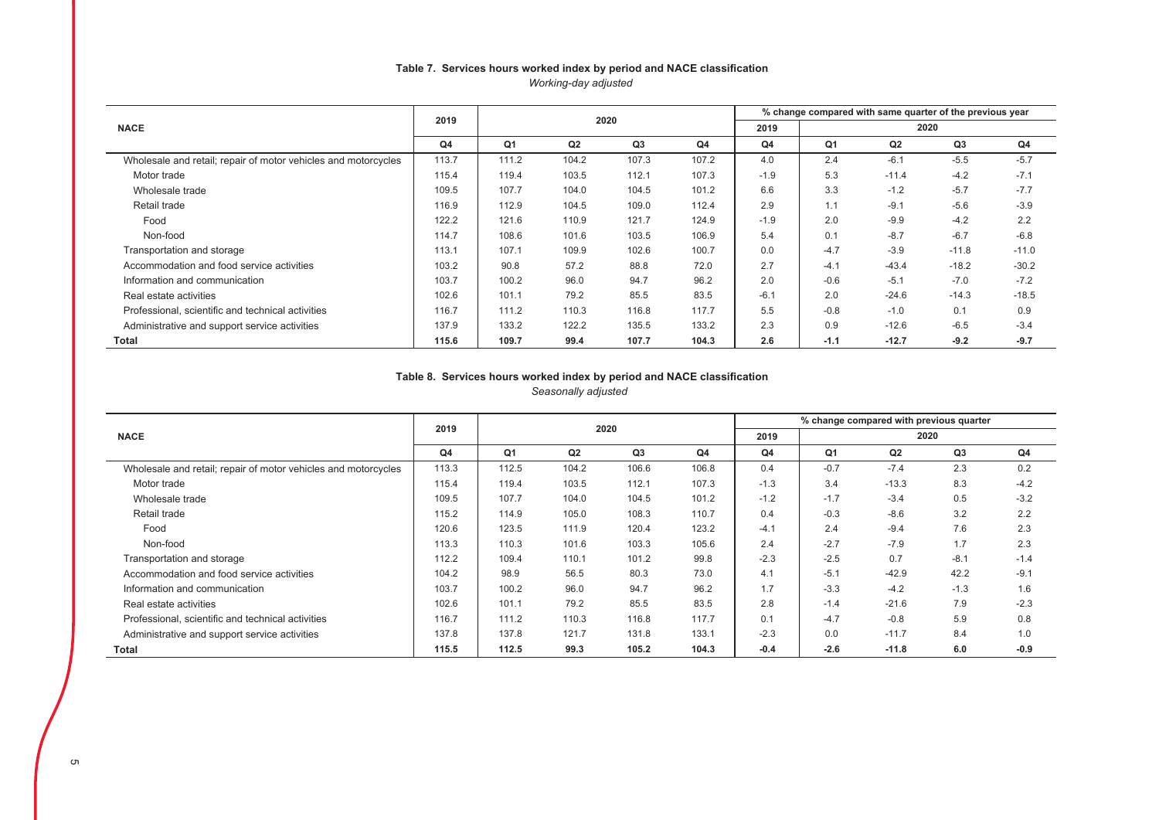### Table 7. Services hours worked index by period and NACE classification *Working-day adjusted*

|                                                                | 2019  |                |                | 2020  |       |                |        | % change compared with same quarter of the previous year |         |         |
|----------------------------------------------------------------|-------|----------------|----------------|-------|-------|----------------|--------|----------------------------------------------------------|---------|---------|
| <b>NACE</b>                                                    |       |                |                |       |       | 2019           |        | 2020                                                     |         |         |
|                                                                | Q4    | Q <sub>1</sub> | Q <sub>2</sub> | Q3    | Q4    | Q <sub>4</sub> | Q1     | Q <sub>2</sub>                                           | Q3      | Q4      |
| Wholesale and retail; repair of motor vehicles and motorcycles | 113.7 | 111.2          | 104.2          | 107.3 | 107.2 | 4.0            | 2.4    | $-6.1$                                                   | $-5.5$  | $-5.7$  |
| Motor trade                                                    | 115.4 | 119.4          | 103.5          | 112.1 | 107.3 | $-1.9$         | 5.3    | $-11.4$                                                  | $-4.2$  | $-7.1$  |
| Wholesale trade                                                | 109.5 | 107.7          | 104.0          | 104.5 | 101.2 | 6.6            | 3.3    | $-1.2$                                                   | $-5.7$  | $-7.7$  |
| Retail trade                                                   | 116.9 | 112.9          | 104.5          | 109.0 | 112.4 | 2.9            | 1.1    | $-9.1$                                                   | $-5.6$  | $-3.9$  |
| Food                                                           | 122.2 | 121.6          | 110.9          | 121.7 | 124.9 | $-1.9$         | 2.0    | $-9.9$                                                   | $-4.2$  | 2.2     |
| Non-food                                                       | 114.7 | 108.6          | 101.6          | 103.5 | 106.9 | 5.4            | 0.1    | $-8.7$                                                   | $-6.7$  | $-6.8$  |
| Transportation and storage                                     | 113.1 | 107.1          | 109.9          | 102.6 | 100.7 | 0.0            | $-4.7$ | $-3.9$                                                   | $-11.8$ | $-11.0$ |
| Accommodation and food service activities                      | 103.2 | 90.8           | 57.2           | 88.8  | 72.0  | 2.7            | $-4.1$ | $-43.4$                                                  | $-18.2$ | $-30.2$ |
| Information and communication                                  | 103.7 | 100.2          | 96.0           | 94.7  | 96.2  | 2.0            | $-0.6$ | $-5.1$                                                   | $-7.0$  | $-7.2$  |
| Real estate activities                                         | 102.6 | 101.1          | 79.2           | 85.5  | 83.5  | $-6.1$         | 2.0    | $-24.6$                                                  | $-14.3$ | $-18.5$ |
| Professional, scientific and technical activities              | 116.7 | 111.2          | 110.3          | 116.8 | 117.7 | 5.5            | $-0.8$ | $-1.0$                                                   | 0.1     | 0.9     |
| Administrative and support service activities                  | 137.9 | 133.2          | 122.2          | 135.5 | 133.2 | 2.3            | 0.9    | $-12.6$                                                  | $-6.5$  | $-3.4$  |
| Total                                                          | 115.6 | 109.7          | 99.4           | 107.7 | 104.3 | 2.6            | $-1.1$ | $-12.7$                                                  | $-9.2$  | $-9.7$  |

### Table 8. Services hours worked index by period and NACE classification *Seasonally adjusted*

|                                                                | 2019  |                | 2020  |       |       |        |                | % change compared with previous quarter |                |        |
|----------------------------------------------------------------|-------|----------------|-------|-------|-------|--------|----------------|-----------------------------------------|----------------|--------|
| <b>NACE</b>                                                    |       |                |       |       |       | 2019   |                | 2020                                    |                |        |
|                                                                | Q4    | Q <sub>1</sub> | Q2    | Q3    | Q4    | Q4     | Q <sub>1</sub> | Q2                                      | Q <sub>3</sub> | Q4     |
| Wholesale and retail; repair of motor vehicles and motorcycles | 113.3 | 112.5          | 104.2 | 106.6 | 106.8 | 0.4    | $-0.7$         | $-7.4$                                  | 2.3            | 0.2    |
| Motor trade                                                    | 115.4 | 119.4          | 103.5 | 112.1 | 107.3 | $-1.3$ | 3.4            | $-13.3$                                 | 8.3            | $-4.2$ |
| Wholesale trade                                                | 109.5 | 107.7          | 104.0 | 104.5 | 101.2 | $-1.2$ | $-1.7$         | $-3.4$                                  | 0.5            | $-3.2$ |
| Retail trade                                                   | 115.2 | 114.9          | 105.0 | 108.3 | 110.7 | 0.4    | $-0.3$         | $-8.6$                                  | 3.2            | 2.2    |
| Food                                                           | 120.6 | 123.5          | 111.9 | 120.4 | 123.2 | $-4.1$ | 2.4            | $-9.4$                                  | 7.6            | 2.3    |
| Non-food                                                       | 113.3 | 110.3          | 101.6 | 103.3 | 105.6 | 2.4    | $-2.7$         | $-7.9$                                  | 1.7            | 2.3    |
| Transportation and storage                                     | 112.2 | 109.4          | 110.1 | 101.2 | 99.8  | $-2.3$ | $-2.5$         | 0.7                                     | $-8.1$         | $-1.4$ |
| Accommodation and food service activities                      | 104.2 | 98.9           | 56.5  | 80.3  | 73.0  | 4.1    | $-5.1$         | $-42.9$                                 | 42.2           | $-9.1$ |
| Information and communication                                  | 103.7 | 100.2          | 96.0  | 94.7  | 96.2  | 1.7    | $-3.3$         | $-4.2$                                  | $-1.3$         | 1.6    |
| Real estate activities                                         | 102.6 | 101.1          | 79.2  | 85.5  | 83.5  | 2.8    | $-1.4$         | $-21.6$                                 | 7.9            | $-2.3$ |
| Professional, scientific and technical activities              | 116.7 | 111.2          | 110.3 | 116.8 | 117.7 | 0.1    | $-4.7$         | $-0.8$                                  | 5.9            | 0.8    |
| Administrative and support service activities                  | 137.8 | 137.8          | 121.7 | 131.8 | 133.1 | $-2.3$ | 0.0            | $-11.7$                                 | 8.4            | 1.0    |
| Total                                                          | 115.5 | 112.5          | 99.3  | 105.2 | 104.3 | $-0.4$ | $-2.6$         | $-11.8$                                 | 6.0            | $-0.9$ |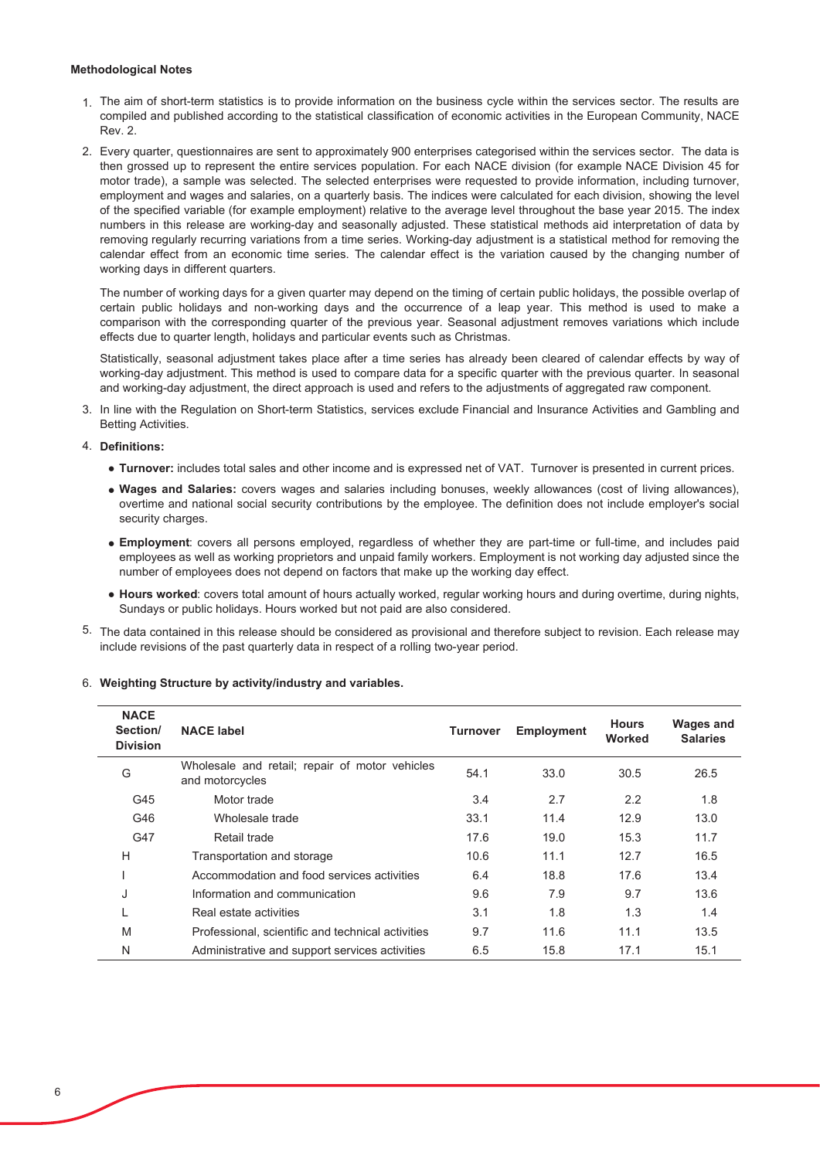#### **Methodological Notes**

- $1$ . The aim of short-term statistics is to provide information on the business cycle within the services sector. The results are compiled and published according to the statistical classification of economic activities in the European Community, NACE Rev. 2.
- 2. Every quarter, questionnaires are sent to approximately 900 enterprises categorised within the services sector. The data is then grossed up to represent the entire services population. For each NACE division (for example NACE Division 45 for motor trade), a sample was selected. The selected enterprises were requested to provide information, including turnover, employment and wages and salaries, on a quarterly basis. The indices were calculated for each division, showing the level of the specified variable (for example employment) relative to the average level throughout the base year 2015. The index numbers in this release are working-day and seasonally adjusted. These statistical methods aid interpretation of data by removing regularly recurring variations from a time series. Working-day adiustment is a statistical method for removing the calendar effect from an economic time series. The calendar effect is the variation caused by the changing number of working days in different quarters.

The number of working days for a given quarter may depend on the timing of certain public holidays, the possible overlap of certain public holidays and non-working days and the occurrence of a leap year. This method is used to make a comparison with the corresponding quarter of the previous year. Seasonal adjustment removes variations which include effects due to quarter length, holidays and particular events such as Christmas.

Statistically, seasonal adjustment takes place after a time series has already been cleared of calendar effects by way of working-day adjustment. This method is used to compare data for a specific quarter with the previous quarter. In seasonal and working-day adjustment, the direct approach is used and refers to the adjustments of aggregated raw component.

3. In line with the Regulation on Short-term Statistics, services exclude Financial and Insurance Activities and Gambling and Betting Activities.

#### 4. Definitions:

- **Turnover:** includes total sales and other income and is expressed net of VAT. Turnover is presented in current prices.
- Wages and Salaries: covers wages and salaries including bonuses, weekly allowances (cost of living allowances), overtime and national social security contributions by the employee. The definition does not include employer's social security charges.
- **Employment**: covers all persons employed, regardless of whether they are part-time or full-time, and includes paid employees as well as working proprietors and unpaid family workers. Employment is not working day adjusted since the number of employees does not depend on factors that make up the working day effect.
- $\bullet$  Hours worked: covers total amount of hours actually worked, regular working hours and during overtime, during nights, Sundays or public holidays. Hours worked but not paid are also considered.
- $5.$  The data contained in this release should be considered as provisional and therefore subject to revision. Each release may include revisions of the past quarterly data in respect of a rolling two-year period.

| <b>NACE</b><br>Section/<br><b>Division</b> | <b>NACE label</b>                                                 | <b>Turnover</b> | Employment | <b>Hours</b><br>Worked | <b>Wages and</b><br><b>Salaries</b> |
|--------------------------------------------|-------------------------------------------------------------------|-----------------|------------|------------------------|-------------------------------------|
| G                                          | Wholesale and retail; repair of motor vehicles<br>and motorcycles | 54.1            | 33.0       | 30.5                   | 26.5                                |
| G45                                        | Motor trade                                                       | 3.4             | 2.7        | 2.2                    | 1.8                                 |
| G46                                        | Wholesale trade                                                   | 33.1            | 11.4       | 12.9                   | 13.0                                |
| G47                                        | Retail trade                                                      | 17.6            | 19.0       | 15.3                   | 11.7                                |
| H                                          | Transportation and storage                                        | 10.6            | 11.1       | 12.7                   | 16.5                                |
|                                            | Accommodation and food services activities                        | 6.4             | 18.8       | 17.6                   | 13.4                                |
| J                                          | Information and communication                                     | 9.6             | 7.9        | 9.7                    | 13.6                                |
|                                            | Real estate activities                                            | 3.1             | 1.8        | 1.3                    | 1.4                                 |
| M                                          | Professional, scientific and technical activities                 | 9.7             | 11.6       | 11.1                   | 13.5                                |
| N                                          | Administrative and support services activities                    | 6.5             | 15.8       | 17.1                   | 15.1                                |

#### 6. Weighting Structure by activity/industry and variables.